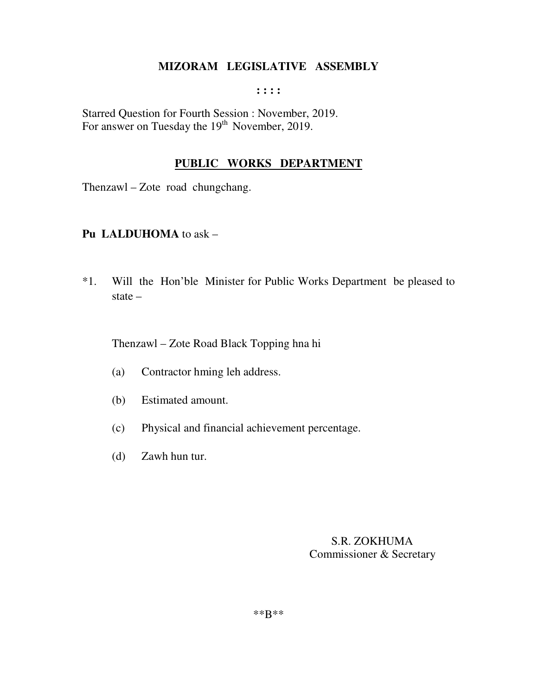**: : : :** 

Starred Question for Fourth Session : November, 2019. For answer on Tuesday the  $19<sup>th</sup>$  November, 2019.

# **PUBLIC WORKS DEPARTMENT**

Thenzawl – Zote road chungchang.

# **Pu LALDUHOMA** to ask –

\*1. Will the Hon'ble Minister for Public Works Department be pleased to state –

Thenzawl – Zote Road Black Topping hna hi

- (a) Contractor hming leh address.
- (b) Estimated amount.
- (c) Physical and financial achievement percentage.
- (d) Zawh hun tur.

 S.R. ZOKHUMA Commissioner & Secretary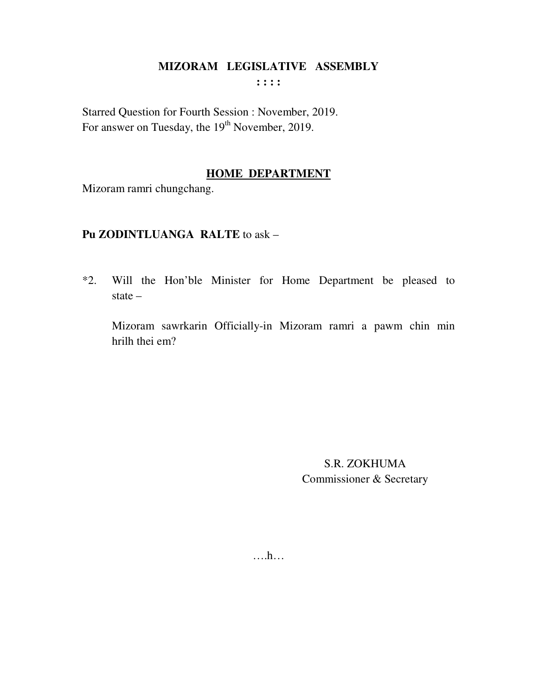$\cdots$ 

Starred Question for Fourth Session : November, 2019. For answer on Tuesday, the 19<sup>th</sup> November, 2019.

# **HOME DEPARTMENT**

Mizoram ramri chungchang.

# Pu ZODINTLUANGA RALTE to ask -

\*2. Will the Hon'ble Minister for Home Department be pleased to state  $-$ 

Mizoram sawrkarin Officially-in Mizoram ramri a pawm chin min hrilh thei em?

> S.R. ZOKHUMA Commissioner & Secretary

 $\dots h\dots$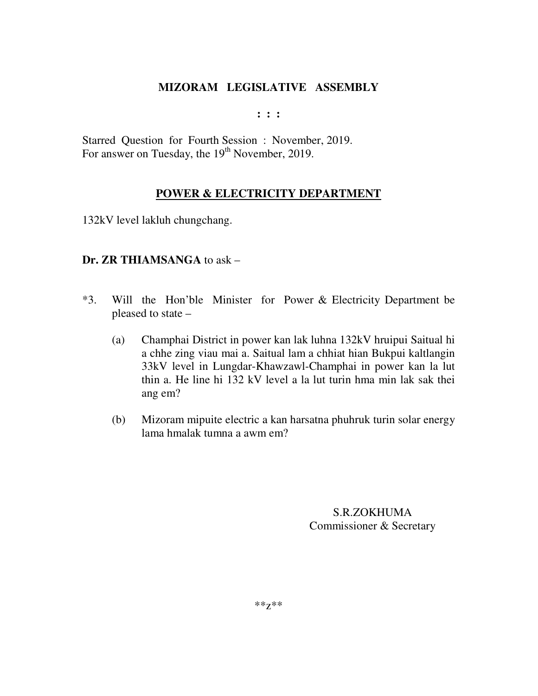**: : :** 

Starred Question for Fourth Session : November, 2019. For answer on Tuesday, the 19<sup>th</sup> November, 2019.

# **POWER & ELECTRICITY DEPARTMENT**

132kV level lakluh chungchang.

# **Dr. ZR THIAMSANGA** to ask –

- \*3. Will the Hon'ble Minister for Power & Electricity Department be pleased to state –
	- (a) Champhai District in power kan lak luhna 132kV hruipui Saitual hi a chhe zing viau mai a. Saitual lam a chhiat hian Bukpui kaltlangin 33kV level in Lungdar-Khawzawl-Champhai in power kan la lut thin a. He line hi 132 kV level a la lut turin hma min lak sak thei ang em?
	- (b) Mizoram mipuite electric a kan harsatna phuhruk turin solar energy lama hmalak tumna a awm em?

S.R.ZOKHUMA Commissioner & Secretary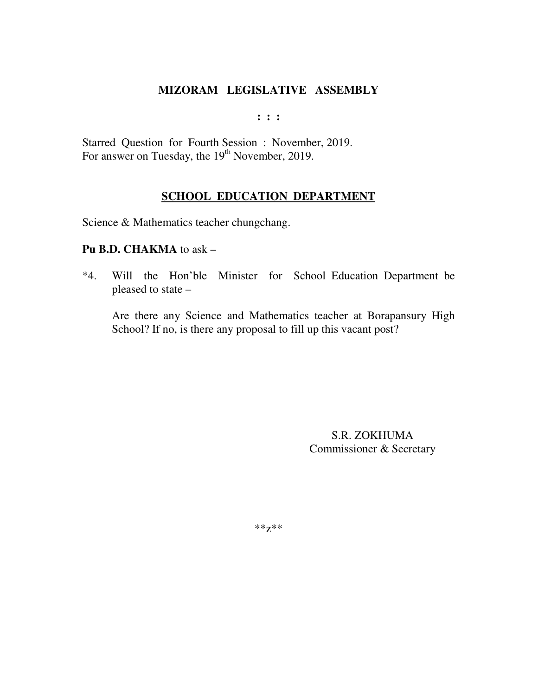**: : :** 

Starred Question for Fourth Session : November, 2019. For answer on Tuesday, the 19<sup>th</sup> November, 2019.

# **SCHOOL EDUCATION DEPARTMENT**

Science & Mathematics teacher chungchang.

#### **Pu B.D. CHAKMA** to ask –

\*4. Will the Hon'ble Minister for School Education Department be pleased to state –

Are there any Science and Mathematics teacher at Borapansury High School? If no, is there any proposal to fill up this vacant post?

> S.R. ZOKHUMA Commissioner & Secretary

\*\*z\*\*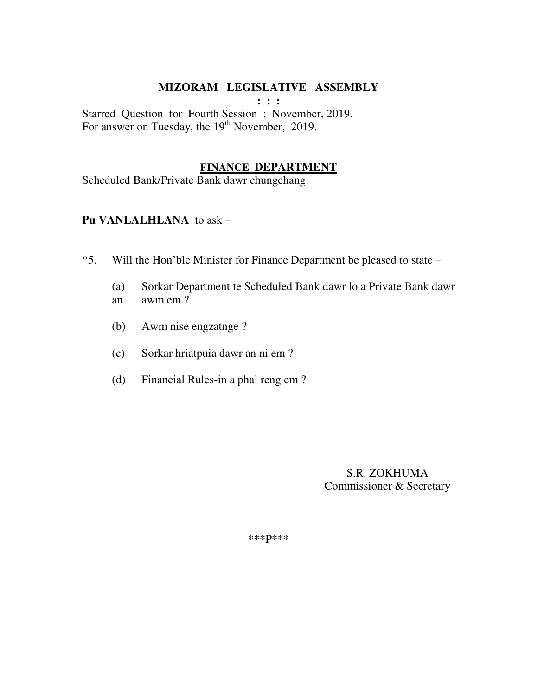**: : :** 

Starred Question for Fourth Session : November, 2019. For answer on Tuesday, the 19<sup>th</sup> November, 2019.

#### **FINANCE DEPARTMENT**

Scheduled Bank/Private Bank dawr chungchang.

### **Pu VANLALHLANA** to ask –

- \*5. Will the Hon'ble Minister for Finance Department be pleased to state
	- (a) Sorkar Department te Scheduled Bank dawr lo a Private Bank dawr an awm em ?
	- (b) Awm nise engzatnge ?
	- (c) Sorkar hriatpuia dawr an ni em ?
	- (d) Financial Rules-in a phal reng em ?

 S.R. ZOKHUMA Commissioner & Secretary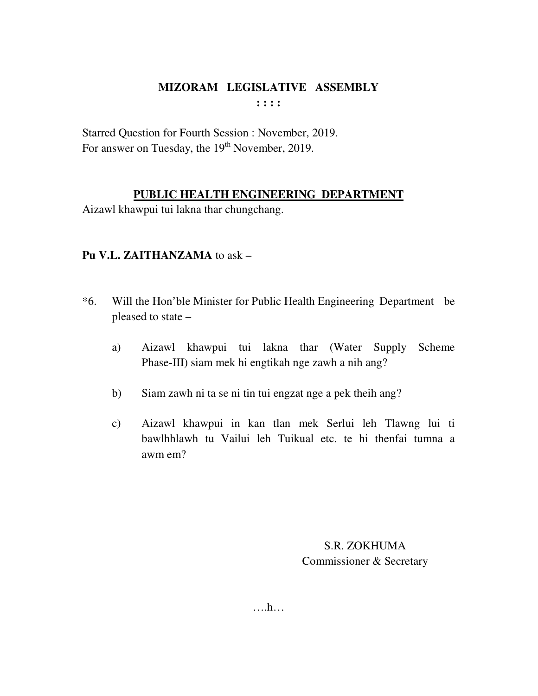**: : : :** 

Starred Question for Fourth Session : November, 2019. For answer on Tuesday, the 19<sup>th</sup> November, 2019.

# **PUBLIC HEALTH ENGINEERING DEPARTMENT**

Aizawl khawpui tui lakna thar chungchang.

# **Pu V.L. ZAITHANZAMA** to ask –

- \*6. Will the Hon'ble Minister for Public Health Engineering Department be pleased to state –
	- a) Aizawl khawpui tui lakna thar (Water Supply Scheme Phase-III) siam mek hi engtikah nge zawh a nih ang?
	- b) Siam zawh ni ta se ni tin tui engzat nge a pek theih ang?
	- c) Aizawl khawpui in kan tlan mek Serlui leh Tlawng lui ti bawlhhlawh tu Vailui leh Tuikual etc. te hi thenfai tumna a awm em?

S.R. ZOKHUMA Commissioner & Secretary

….h…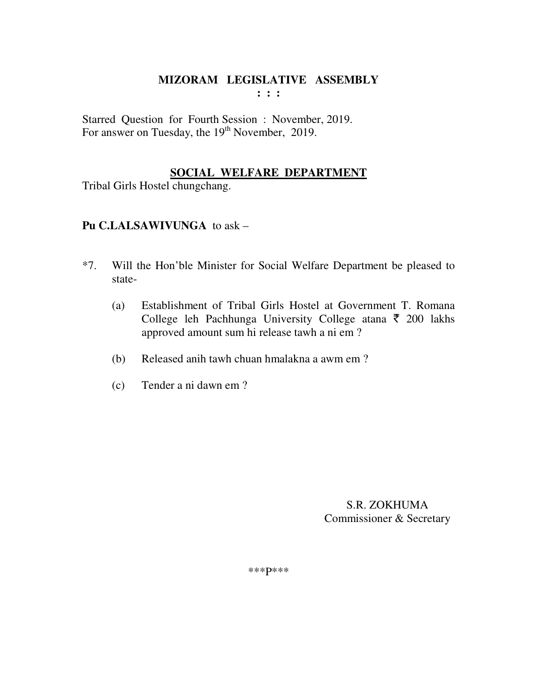Starred Question for Fourth Session : November, 2019. For answer on Tuesday, the 19<sup>th</sup> November, 2019.

# **SOCIAL WELFARE DEPARTMENT**

Tribal Girls Hostel chungchang.

# **Pu C.LALSAWIVUNGA** to ask –

- \*7. Will the Hon'ble Minister for Social Welfare Department be pleased to state-
	- (a) Establishment of Tribal Girls Hostel at Government T. Romana College leh Pachhunga University College atana  $\bar{\tau}$  200 lakhs approved amount sum hi release tawh a ni em ?
	- (b) Released anih tawh chuan hmalakna a awm em ?
	- (c) Tender a ni dawn em ?

 S.R. ZOKHUMA Commissioner & Secretary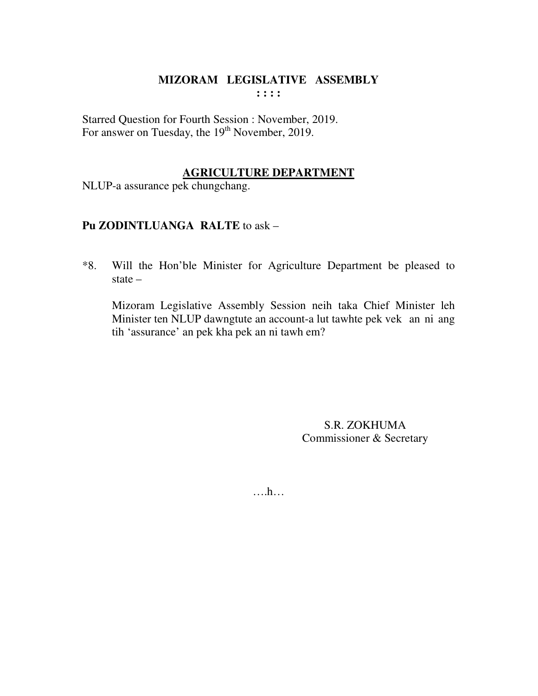# MIZORAM LEGISLATIVE ASSEMBLY  $: : : :$

Starred Question for Fourth Session : November, 2019. For answer on Tuesday, the 19<sup>th</sup> November, 2019.

# **AGRICULTURE DEPARTMENT**

NLUP-a assurance pek chungchang.

# Pu ZODINTLUANGA RALTE to ask -

Will the Hon'ble Minister for Agriculture Department be pleased to  $*8.$ state  $-$ 

Mizoram Legislative Assembly Session neih taka Chief Minister leh Minister ten NLUP dawngtute an account-a lut tawhte pek vek an ni ang tih 'assurance' an pek kha pek an ni tawh em?

> S.R. ZOKHUMA Commissioner & Secretary

 $\dots h\dots$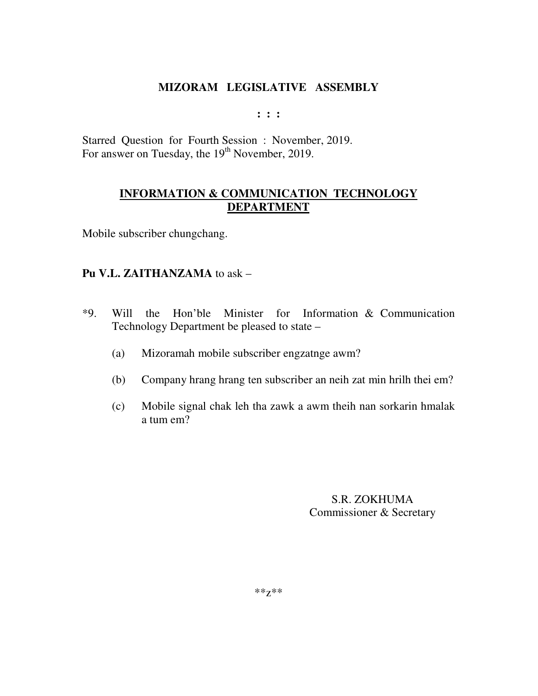**: : :** 

Starred Question for Fourth Session : November, 2019. For answer on Tuesday, the 19<sup>th</sup> November, 2019.

# **INFORMATION & COMMUNICATION TECHNOLOGY DEPARTMENT**

Mobile subscriber chungchang.

# **Pu V.L. ZAITHANZAMA** to ask –

- \*9. Will the Hon'ble Minister for Information & Communication Technology Department be pleased to state –
	- (a) Mizoramah mobile subscriber engzatnge awm?
	- (b) Company hrang hrang ten subscriber an neih zat min hrilh thei em?
	- (c) Mobile signal chak leh tha zawk a awm theih nan sorkarin hmalak a tum em?

S.R. ZOKHUMA Commissioner & Secretary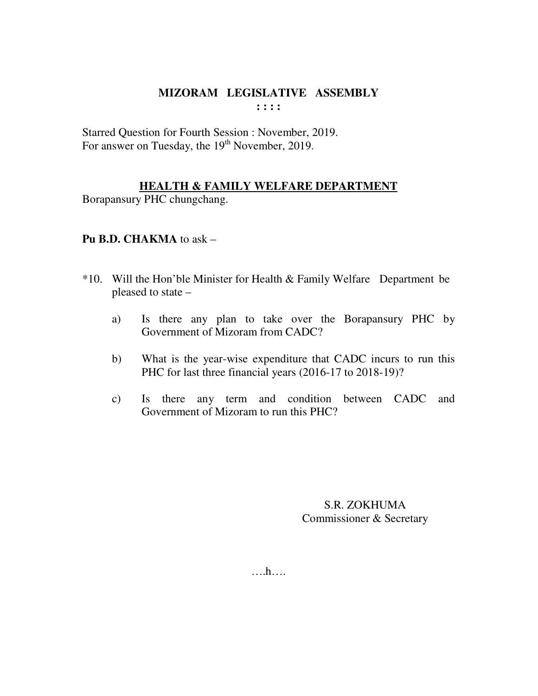# **MIZORAM LEGISLATIVE ASSEMBLY : : : :**

Starred Question for Fourth Session : November, 2019. For answer on Tuesday, the 19<sup>th</sup> November, 2019.

# **HEALTH & FAMILY WELFARE DEPARTMENT**

Borapansury PHC chungchang.

# **Pu B.D. CHAKMA** to ask –

- \*10. Will the Hon'ble Minister for Health & Family Welfare Department be pleased to state –
	- a) Is there any plan to take over the Borapansury PHC by Government of Mizoram from CADC?
	- b) What is the year-wise expenditure that CADC incurs to run this PHC for last three financial years (2016-17 to 2018-19)?
	- c) Is there any term and condition between CADC and Government of Mizoram to run this PHC?

S.R. ZOKHUMA Commissioner & Secretary

….h….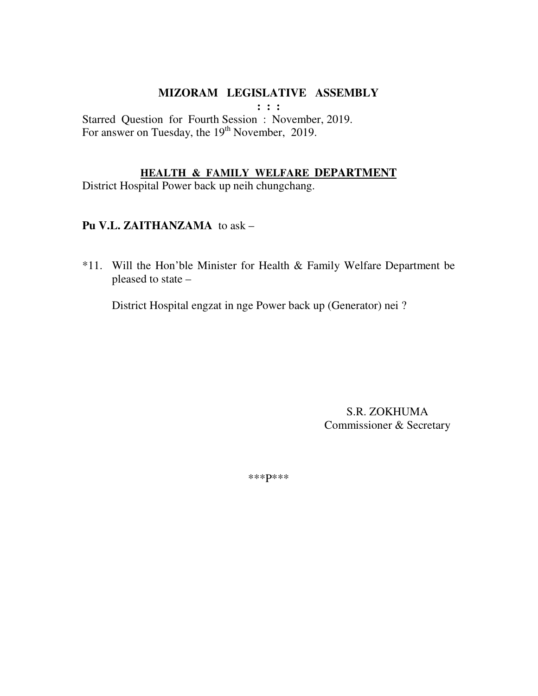$: : :$ 

Starred Question for Fourth Session : November, 2019. For answer on Tuesday, the 19<sup>th</sup> November, 2019.

#### **HEALTH & FAMILY WELFARE DEPARTMENT**

District Hospital Power back up neih chungchang.

### Pu V.L. ZAITHANZAMA to ask -

\*11. Will the Hon'ble Minister for Health & Family Welfare Department be pleased to state -

District Hospital engzat in nge Power back up (Generator) nei ?

S.R. ZOKHUMA Commissioner & Secretary

\*\*\* p\*\*\*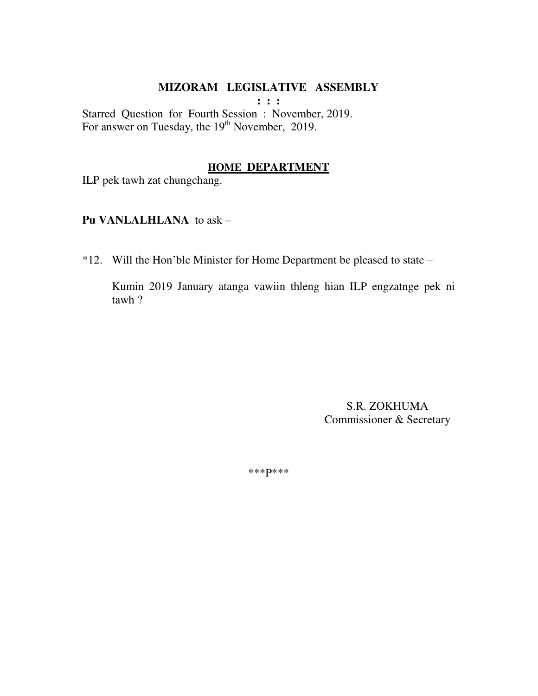**: : :** 

Starred Question for Fourth Session : November, 2019. For answer on Tuesday, the  $19<sup>th</sup>$  November, 2019.

#### **HOME DEPARTMENT**

ILP pek tawh zat chungchang.

#### **Pu VANLALHLANA** to ask –

\*12. Will the Hon'ble Minister for Home Department be pleased to state –

Kumin 2019 January atanga vawiin thleng hian ILP engzatnge pek ni tawh ?

> S.R. ZOKHUMA Commissioner & Secretary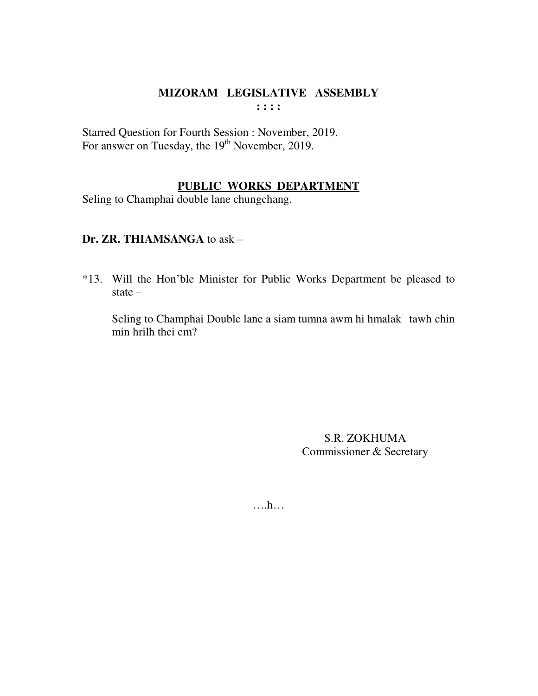# **MIZORAM LEGISLATIVE ASSEMBLY : : : :**

Starred Question for Fourth Session : November, 2019. For answer on Tuesday, the 19<sup>th</sup> November, 2019.

# **PUBLIC WORKS DEPARTMENT**

Seling to Champhai double lane chungchang.

# **Dr. ZR. THIAMSANGA** to ask –

\*13. Will the Hon'ble Minister for Public Works Department be pleased to state –

 Seling to Champhai Double lane a siam tumna awm hi hmalak tawh chin min hrilh thei em?

> S.R. ZOKHUMA Commissioner & Secretary

….h…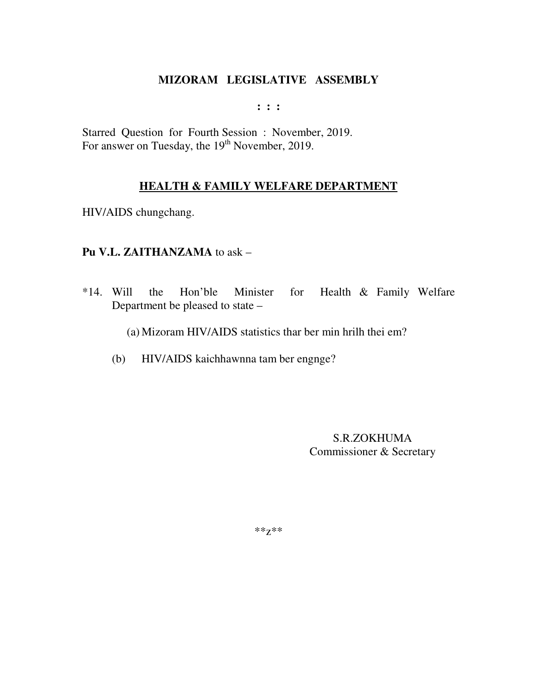**: : :** 

Starred Question for Fourth Session : November, 2019. For answer on Tuesday, the 19<sup>th</sup> November, 2019.

# **HEALTH & FAMILY WELFARE DEPARTMENT**

HIV/AIDS chungchang.

### **Pu V.L. ZAITHANZAMA** to ask –

\*14. Will the Hon'ble Minister for Health & Family Welfare Department be pleased to state –

(a) Mizoram HIV/AIDS statistics thar ber min hrilh thei em?

(b) HIV/AIDS kaichhawnna tam ber engnge?

S.R.ZOKHUMA Commissioner & Secretary

\*\*z\*\*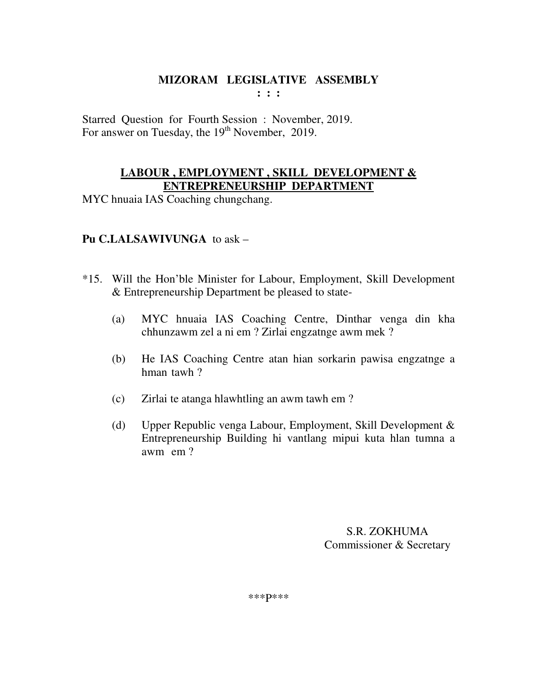Starred Question for Fourth Session : November, 2019. For answer on Tuesday, the 19<sup>th</sup> November, 2019.

### **LABOUR , EMPLOYMENT , SKILL DEVELOPMENT & ENTREPRENEURSHIP DEPARTMENT**

MYC hnuaia IAS Coaching chungchang.

# **Pu C.LALSAWIVUNGA** to ask –

- \*15. Will the Hon'ble Minister for Labour, Employment, Skill Development & Entrepreneurship Department be pleased to state-
	- (a) MYC hnuaia IAS Coaching Centre, Dinthar venga din kha chhunzawm zel a ni em ? Zirlai engzatnge awm mek ?
	- (b) He IAS Coaching Centre atan hian sorkarin pawisa engzatnge a hman tawh ?
	- (c) Zirlai te atanga hlawhtling an awm tawh em ?
	- (d) Upper Republic venga Labour, Employment, Skill Development & Entrepreneurship Building hi vantlang mipui kuta hlan tumna a awm em ?

 S.R. ZOKHUMA Commissioner & Secretary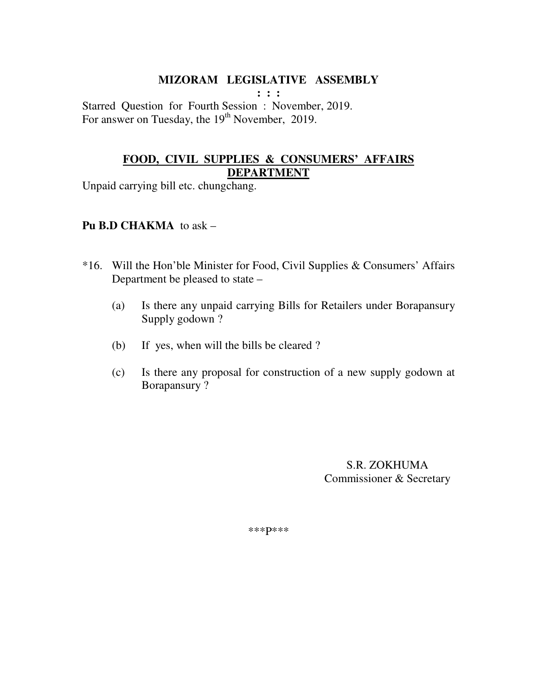**: : :**  Starred Question for Fourth Session : November, 2019. For answer on Tuesday, the  $19<sup>th</sup>$  November, 2019.

# **FOOD, CIVIL SUPPLIES & CONSUMERS' AFFAIRS DEPARTMENT**

Unpaid carrying bill etc. chungchang.

### **Pu B.D CHAKMA** to ask –

- \*16. Will the Hon'ble Minister for Food, Civil Supplies & Consumers' Affairs Department be pleased to state –
	- (a) Is there any unpaid carrying Bills for Retailers under Borapansury Supply godown ?
	- (b) If yes, when will the bills be cleared ?
	- (c) Is there any proposal for construction of a new supply godown at Borapansury ?

 S.R. ZOKHUMA Commissioner & Secretary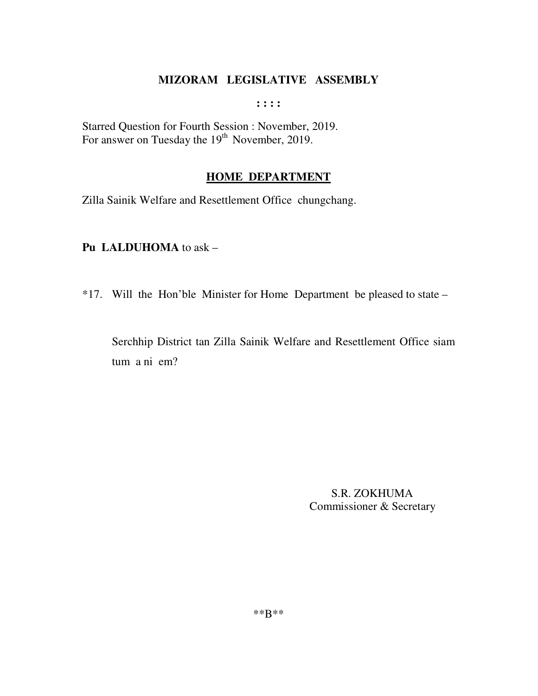$\mathbf{1}$ :  $\mathbf{1}$ :

Starred Question for Fourth Session : November, 2019.<br>For answer on Tuesday the 19<sup>th</sup> November, 2019.

# **HOME DEPARTMENT**

Zilla Sainik Welfare and Resettlement Office chungchang.

# Pu LALDUHOMA to ask -

\*17. Will the Hon'ble Minister for Home Department be pleased to state –

Serchhip District tan Zilla Sainik Welfare and Resettlement Office siam tum a ni em?

> S.R. ZOKHUMA Commissioner & Secretary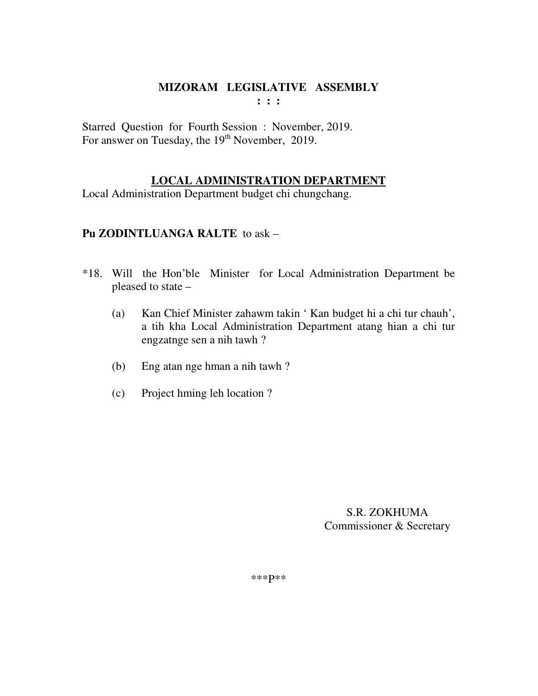**: : :** 

Starred Question for Fourth Session : November, 2019. For answer on Tuesday, the 19<sup>th</sup> November, 2019.

# **LOCAL ADMINISTRATION DEPARTMENT**

Local Administration Department budget chi chungchang.

### **Pu ZODINTLUANGA RALTE** to ask –

- \*18. Will the Hon'ble Minister for Local Administration Department be pleased to state –
	- (a) Kan Chief Minister zahawm takin ' Kan budget hi a chi tur chauh', a tih kha Local Administration Department atang hian a chi tur engzatnge sen a nih tawh ?
	- (b) Eng atan nge hman a nih tawh ?
	- (c) Project hming leh location ?

 S.R. ZOKHUMA Commissioner & Secretary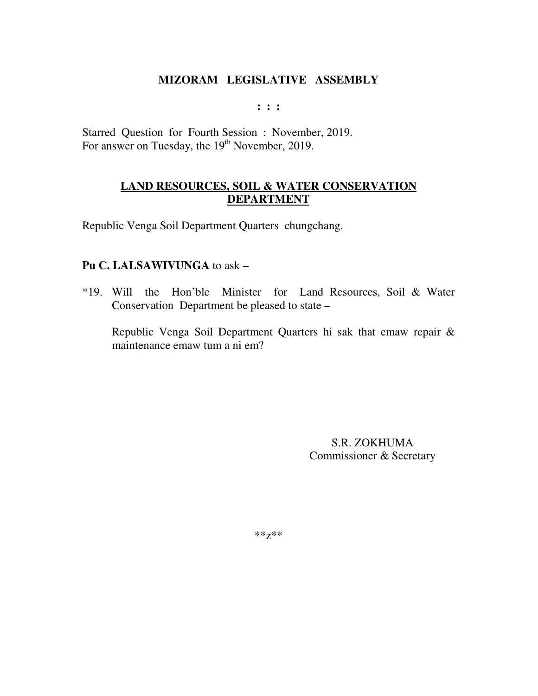$: : :$ 

Starred Question for Fourth Session : November, 2019. For answer on Tuesday, the 19<sup>th</sup> November, 2019.

# **LAND RESOURCES, SOIL & WATER CONSERVATION DEPARTMENT**

Republic Venga Soil Department Quarters chungchang.

# Pu C. LALSAWIVUNGA to ask -

\*19. Will the Hon'ble Minister for Land Resources, Soil & Water Conservation Department be pleased to state –

Republic Venga Soil Department Quarters hi sak that emaw repair & maintenance emaw tum a ni em?

> S.R. ZOKHUMA Commissioner & Secretary

 $**Z**$